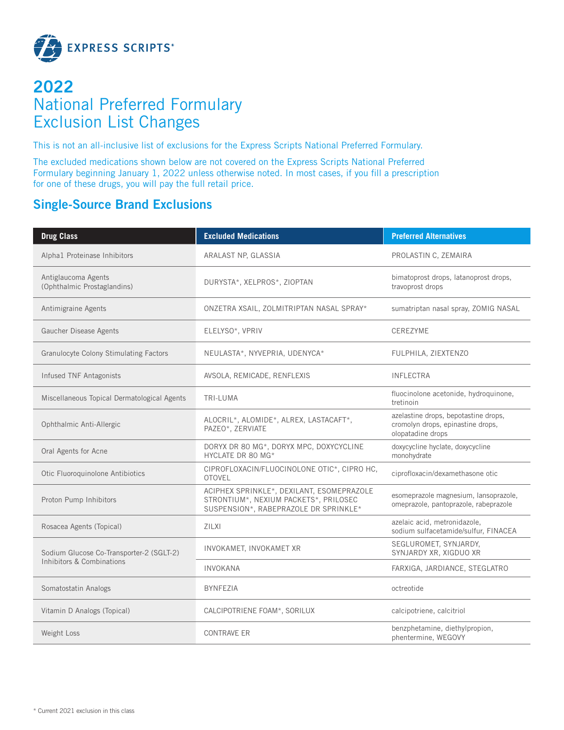

# **2022** National Preferred Formulary Exclusion List Changes

This is not an all-inclusive list of exclusions for the Express Scripts National Preferred Formulary.

The excluded medications shown below are not covered on the Express Scripts National Preferred Formulary beginning January 1, 2022 unless otherwise noted. In most cases, if you fill a prescription for one of these drugs, you will pay the full retail price.

### **Single-Source Brand Exclusions**

| <b>Drug Class</b>                                                     | <b>Excluded Medications</b>                                                                                                 | <b>Preferred Alternatives</b>                                                                  |
|-----------------------------------------------------------------------|-----------------------------------------------------------------------------------------------------------------------------|------------------------------------------------------------------------------------------------|
| Alpha1 Proteinase Inhibitors                                          | ARALAST NP, GLASSIA                                                                                                         | PROLASTIN C, ZEMAIRA                                                                           |
| Antiglaucoma Agents<br>(Ophthalmic Prostaglandins)                    | DURYSTA*, XELPROS*, ZIOPTAN                                                                                                 | bimatoprost drops, latanoprost drops,<br>travoprost drops                                      |
| Antimigraine Agents                                                   | ONZETRA XSAIL, ZOLMITRIPTAN NASAL SPRAY*                                                                                    | sumatriptan nasal spray, ZOMIG NASAL                                                           |
| Gaucher Disease Agents                                                | ELELYSO*, VPRIV                                                                                                             | CEREZYME                                                                                       |
| <b>Granulocyte Colony Stimulating Factors</b>                         | NEULASTA*, NYVEPRIA, UDENYCA*                                                                                               | FULPHILA, ZIEXTENZO                                                                            |
| Infused TNF Antagonists                                               | AVSOLA, REMICADE, RENFLEXIS                                                                                                 | <b>INFLECTRA</b>                                                                               |
| Miscellaneous Topical Dermatological Agents                           | TRI-LUMA                                                                                                                    | fluocinolone acetonide, hydroquinone,<br>tretinoin                                             |
| Ophthalmic Anti-Allergic                                              | ALOCRIL*, ALOMIDE*, ALREX, LASTACAFT*,<br>PAZEO*, ZERVIATE                                                                  | azelastine drops, bepotastine drops,<br>cromolyn drops, epinastine drops,<br>olopatadine drops |
| Oral Agents for Acne                                                  | DORYX DR 80 MG*, DORYX MPC, DOXYCYCLINE<br>HYCLATE DR 80 MG*                                                                | doxycycline hyclate, doxycycline<br>monohydrate                                                |
| Otic Fluoroquinolone Antibiotics                                      | CIPROFLOXACIN/FLUOCINOLONE OTIC*, CIPRO HC,<br><b>OTOVEL</b>                                                                | ciprofloxacin/dexamethasone otic                                                               |
| Proton Pump Inhibitors                                                | ACIPHEX SPRINKLE*, DEXILANT, ESOMEPRAZOLE<br>STRONTIUM*, NEXIUM PACKETS*, PRILOSEC<br>SUSPENSION*, RABEPRAZOLE DR SPRINKLE* | esomeprazole magnesium, lansoprazole,<br>omeprazole, pantoprazole, rabeprazole                 |
| Rosacea Agents (Topical)                                              | <b>ZILXI</b>                                                                                                                | azelaic acid, metronidazole,<br>sodium sulfacetamide/sulfur, FINACEA                           |
| Sodium Glucose Co-Transporter-2 (SGLT-2)<br>Inhibitors & Combinations | INVOKAMET, INVOKAMET XR                                                                                                     | SEGLUROMET, SYNJARDY,<br>SYNJARDY XR, XIGDUO XR                                                |
|                                                                       | <b>INVOKANA</b>                                                                                                             | FARXIGA, JARDIANCE, STEGLATRO                                                                  |
| Somatostatin Analogs                                                  | <b>BYNFEZIA</b>                                                                                                             | octreotide                                                                                     |
| Vitamin D Analogs (Topical)                                           | CALCIPOTRIENE FOAM*, SORILUX                                                                                                | calcipotriene, calcitriol                                                                      |
| Weight Loss                                                           | <b>CONTRAVE ER</b>                                                                                                          | benzphetamine, diethylpropion,<br>phentermine, WEGOVY                                          |